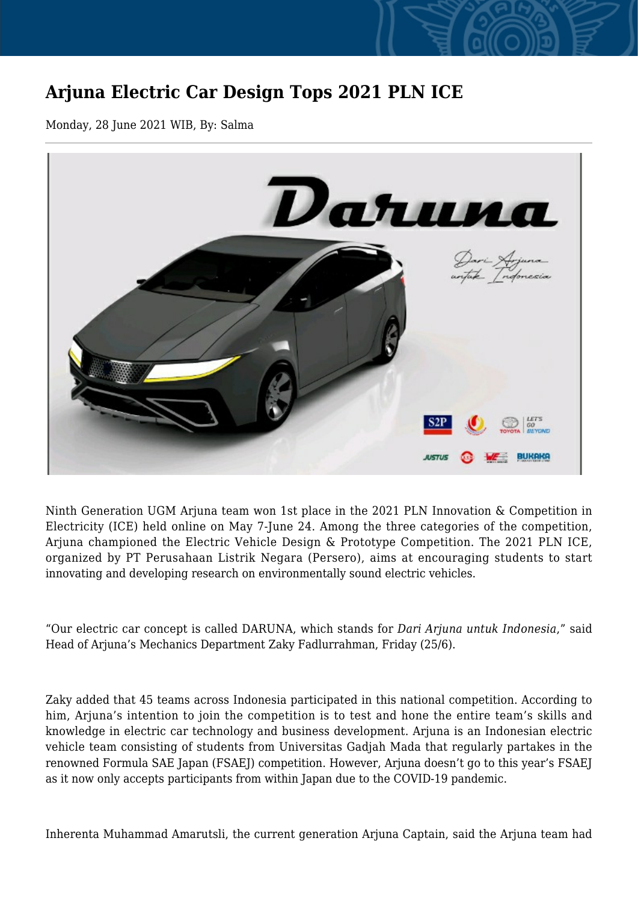## **Arjuna Electric Car Design Tops 2021 PLN ICE**

Monday, 28 June 2021 WIB, By: Salma



Ninth Generation UGM Arjuna team won 1st place in the 2021 PLN Innovation & Competition in Electricity (ICE) held online on May 7-June 24. Among the three categories of the competition, Arjuna championed the Electric Vehicle Design & Prototype Competition. The 2021 PLN ICE, organized by PT Perusahaan Listrik Negara (Persero), aims at encouraging students to start innovating and developing research on environmentally sound electric vehicles.

"Our electric car concept is called DARUNA, which stands for *Dari Arjuna untuk Indonesia*," said Head of Arjuna's Mechanics Department Zaky Fadlurrahman, Friday (25/6).

Zaky added that 45 teams across Indonesia participated in this national competition. According to him. Arjuna's intention to join the competition is to test and hone the entire team's skills and knowledge in electric car technology and business development. Arjuna is an Indonesian electric vehicle team consisting of students from Universitas Gadjah Mada that regularly partakes in the renowned Formula SAE Japan (FSAEJ) competition. However, Arjuna doesn't go to this year's FSAEJ as it now only accepts participants from within Japan due to the COVID-19 pandemic.

Inherenta Muhammad Amarutsli, the current generation Arjuna Captain, said the Arjuna team had